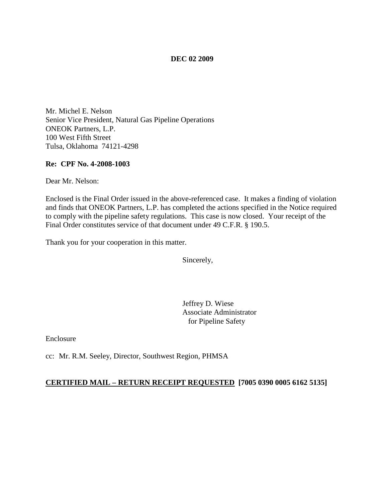#### **DEC 02 2009**

Mr. Michel E. Nelson Senior Vice President, Natural Gas Pipeline Operations ONEOK Partners, L.P. 100 West Fifth Street Tulsa, Oklahoma 74121-4298

#### **Re: CPF No. 4-2008-1003**

Dear Mr. Nelson:

Enclosed is the Final Order issued in the above-referenced case. It makes a finding of violation and finds that ONEOK Partners, L.P. has completed the actions specified in the Notice required to comply with the pipeline safety regulations. This case is now closed. Your receipt of the Final Order constitutes service of that document under 49 C.F.R. § 190.5.

Thank you for your cooperation in this matter.

Sincerely,

Jeffrey D. Wiese Associate Administrator for Pipeline Safety

Enclosure

cc: Mr. R.M. Seeley, Director, Southwest Region, PHMSA

### **CERTIFIED MAIL – RETURN RECEIPT REQUESTED [7005 0390 0005 6162 5135]**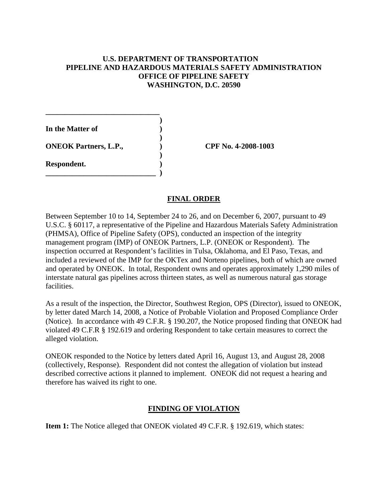### **U.S. DEPARTMENT OF TRANSPORTATION PIPELINE AND HAZARDOUS MATERIALS SAFETY ADMINISTRATION OFFICE OF PIPELINE SAFETY WASHINGTON, D.C. 20590**

**) In the Matter of ) ) ONEOK Partners, L.P., ) CPF No. 4-2008-1003 ) Respondent. ) \_\_\_\_\_\_\_\_\_\_\_\_\_\_\_\_\_\_\_\_\_\_\_\_\_\_\_\_\_ )**

**\_\_\_\_\_\_\_\_\_\_\_\_\_\_\_\_\_\_\_\_\_\_\_\_\_\_\_\_\_\_**

# **FINAL ORDER**

Between September 10 to 14, September 24 to 26, and on December 6, 2007, pursuant to 49 U.S.C. § 60117, a representative of the Pipeline and Hazardous Materials Safety Administration (PHMSA), Office of Pipeline Safety (OPS), conducted an inspection of the integrity management program (IMP) of ONEOK Partners, L.P. (ONEOK or Respondent). The inspection occurred at Respondent's facilities in Tulsa, Oklahoma, and El Paso, Texas, and included a reviewed of the IMP for the OKTex and Norteno pipelines, both of which are owned and operated by ONEOK. In total, Respondent owns and operates approximately 1,290 miles of interstate natural gas pipelines across thirteen states, as well as numerous natural gas storage facilities.

As a result of the inspection, the Director, Southwest Region, OPS (Director), issued to ONEOK, by letter dated March 14, 2008, a Notice of Probable Violation and Proposed Compliance Order (Notice). In accordance with 49 C.F.R. § 190.207, the Notice proposed finding that ONEOK had violated 49 C.F.R § 192.619 and ordering Respondent to take certain measures to correct the alleged violation.

ONEOK responded to the Notice by letters dated April 16, August 13, and August 28, 2008 (collectively, Response). Respondent did not contest the allegation of violation but instead described corrective actions it planned to implement. ONEOK did not request a hearing and therefore has waived its right to one.

# **FINDING OF VIOLATION**

**Item 1:** The Notice alleged that ONEOK violated 49 C.F.R. § 192.619, which states: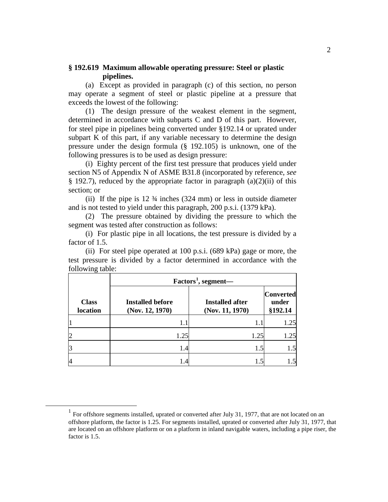### **§ 192.619 Maximum allowable operating pressure: Steel or plastic pipelines.**

(a) Except as provided in paragraph (c) of this section, no person may operate a segment of steel or plastic pipeline at a pressure that exceeds the lowest of the following:

(1) The design pressure of the weakest element in the segment, determined in accordance with subparts C and D of this part. However, for steel pipe in pipelines being converted under §192.14 or uprated under subpart K of this part, if any variable necessary to determine the design pressure under the design formula (§ 192.105) is unknown, one of the following pressures is to be used as design pressure:

(i) Eighty percent of the first test pressure that produces yield under section N5 of Appendix N of ASME B31.8 (incorporated by reference, *see*  $§$  192.7), reduced by the appropriate factor in paragraph (a)(2)(ii) of this section; or

(ii) If the pipe is 12 ¾ inches (324 mm) or less in outside diameter and is not tested to yield under this paragraph, 200 p.s.i. (1379 kPa).

(2) The pressure obtained by dividing the pressure to which the segment was tested after construction as follows:

(i) For plastic pipe in all locations, the test pressure is divided by a factor of 1.5.

(ii) For steel pipe operated at 100 p.s.i. (689 kPa) gage or more, the test pressure is divided by a factor determined in accordance with the following table:

|                          | $Factors1$ , segment—                      |                                           |                                      |
|--------------------------|--------------------------------------------|-------------------------------------------|--------------------------------------|
| <b>Class</b><br>location | <b>Installed before</b><br>(Nov. 12, 1970) | <b>Installed after</b><br>(Nov. 11, 1970) | <b>Converted</b><br>under<br>§192.14 |
|                          |                                            |                                           | 1.25                                 |
| $\overline{2}$           | 1.25                                       | 1.25                                      | 1.25                                 |
| 3                        | 1.4                                        | 1.5                                       |                                      |
| 4                        | .4                                         |                                           |                                      |

<span id="page-2-0"></span> $1$  For offshore segments installed, uprated or converted after July 31, 1977, that are not located on an offshore platform, the factor is 1.25. For segments installed, uprated or converted after July 31, 1977, that are located on an offshore platform or on a platform in inland navigable waters, including a pipe riser, the factor is 1.5.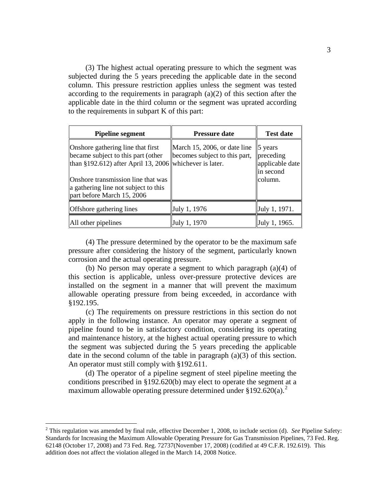(3) The highest actual operating pressure to which the segment was subjected during the 5 years preceding the applicable date in the second column. This pressure restriction applies unless the segment was tested according to the requirements in paragraph  $(a)(2)$  of this section after the applicable date in the third column or the segment was uprated according to the requirements in subpart K of this part:

| <b>Pipeline segment</b>                                                                                                                                                                                                                        | <b>Pressure date</b>                                          | <b>Test date</b>                                                        |
|------------------------------------------------------------------------------------------------------------------------------------------------------------------------------------------------------------------------------------------------|---------------------------------------------------------------|-------------------------------------------------------------------------|
| Onshore gathering line that first<br>became subject to this part (other<br>than §192.612) after April 13, 2006 whichever is later.<br>Onshore transmission line that was<br>a gathering line not subject to this<br>part before March 15, 2006 | March 15, 2006, or date line<br>becomes subject to this part, | $\vert$ 5 years<br>preceding<br>applicable date<br>in second<br>column. |
| <b>Offshore</b> gathering lines                                                                                                                                                                                                                | July 1, 1976                                                  | July 1, 1971.                                                           |
| All other pipelines                                                                                                                                                                                                                            | July 1, 1970                                                  | July 1, 1965.                                                           |

(4) The pressure determined by the operator to be the maximum safe pressure after considering the history of the segment, particularly known corrosion and the actual operating pressure.

(b) No person may operate a segment to which paragraph (a)(4) of this section is applicable, unless over-pressure protective devices are installed on the segment in a manner that will prevent the maximum allowable operating pressure from being exceeded, in accordance with §192.195.

(c) The requirements on pressure restrictions in this section do not apply in the following instance. An operator may operate a segment of pipeline found to be in satisfactory condition, considering its operating and maintenance history, at the highest actual operating pressure to which the segment was subjected during the 5 years preceding the applicable date in the second column of the table in paragraph (a)(3) of this section. An operator must still comply with §192.611.

(d) The operator of a pipeline segment of steel pipeline meeting the conditions prescribed in §192.620(b) may elect to operate the segment at a maximum allowable operating pressure determined under  $$192.620(a).$  $$192.620(a).$  $$192.620(a).$ <sup>2</sup>

<span id="page-3-0"></span> <sup>2</sup> This regulation was amended by final rule, effective December 1, 2008, to include section (d). *See* Pipeline Safety: Standards for Increasing the Maximum Allowable Operating Pressure for Gas Transmission Pipelines, 73 Fed. Reg. 62148 (October 17, 2008) and 73 Fed. Reg. 72737(November 17, 2008) (codified at 49 C.F.R. 192.619). This addition does not affect the violation alleged in the March 14, 2008 Notice.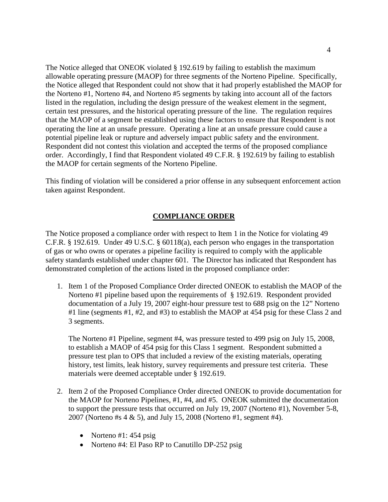The Notice alleged that ONEOK violated § 192.619 by failing to establish the maximum allowable operating pressure (MAOP) for three segments of the Norteno Pipeline. Specifically, the Notice alleged that Respondent could not show that it had properly established the MAOP for the Norteno #1, Norteno #4, and Norteno #5 segments by taking into account all of the factors listed in the regulation, including the design pressure of the weakest element in the segment, certain test pressures, and the historical operating pressure of the line. The regulation requires that the MAOP of a segment be established using these factors to ensure that Respondent is not operating the line at an unsafe pressure. Operating a line at an unsafe pressure could cause a potential pipeline leak or rupture and adversely impact public safety and the environment. Respondent did not contest this violation and accepted the terms of the proposed compliance order. Accordingly, I find that Respondent violated 49 C.F.R. § 192.619 by failing to establish the MAOP for certain segments of the Norteno Pipeline.

This finding of violation will be considered a prior offense in any subsequent enforcement action taken against Respondent.

## **COMPLIANCE ORDER**

The Notice proposed a compliance order with respect to Item 1 in the Notice for violating 49 C.F.R. § 192.619. Under 49 U.S.C. § 60118(a), each person who engages in the transportation of gas or who owns or operates a pipeline facility is required to comply with the applicable safety standards established under chapter 601. The Director has indicated that Respondent has demonstrated completion of the actions listed in the proposed compliance order:

1. Item 1 of the Proposed Compliance Order directed ONEOK to establish the MAOP of the Norteno #1 pipeline based upon the requirements of § 192.619. Respondent provided documentation of a July 19, 2007 eight-hour pressure test to 688 psig on the 12" Norteno #1 line (segments #1, #2, and #3) to establish the MAOP at 454 psig for these Class 2 and 3 segments.

The Norteno #1 Pipeline, segment #4, was pressure tested to 499 psig on July 15, 2008, to establish a MAOP of 454 psig for this Class 1 segment. Respondent submitted a pressure test plan to OPS that included a review of the existing materials, operating history, test limits, leak history, survey requirements and pressure test criteria. These materials were deemed acceptable under § 192.619.

- 2. Item 2 of the Proposed Compliance Order directed ONEOK to provide documentation for the MAOP for Norteno Pipelines, #1, #4, and #5. ONEOK submitted the documentation to support the pressure tests that occurred on July 19, 2007 (Norteno #1), November 5-8, 2007 (Norteno #s 4 & 5), and July 15, 2008 (Norteno #1, segment #4).
	- Norteno #1: 454 psig
	- Norteno #4: El Paso RP to Canutillo DP-252 psig